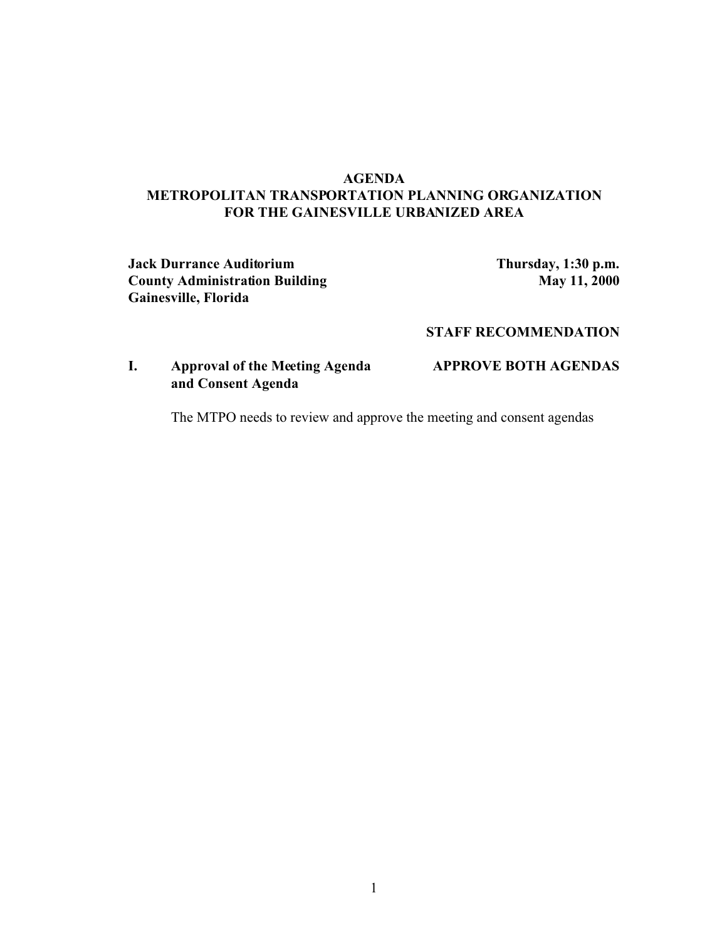## **AGENDA METROPOLITAN TRANSPORTATION PLANNING ORGANIZATION FOR THE GAINESVILLE URBANIZED AREA**

**Jack Durrance Auditorium Thursday, 1:30 p.m. County Administration Building 11, 2000 Gainesville, Florida**

## **STAFF RECOMMENDATION**

## **I. Approval of the Meeting Agenda APPROVE BOTH AGENDAS and Consent Agenda**

The MTPO needs to review and approve the meeting and consent agendas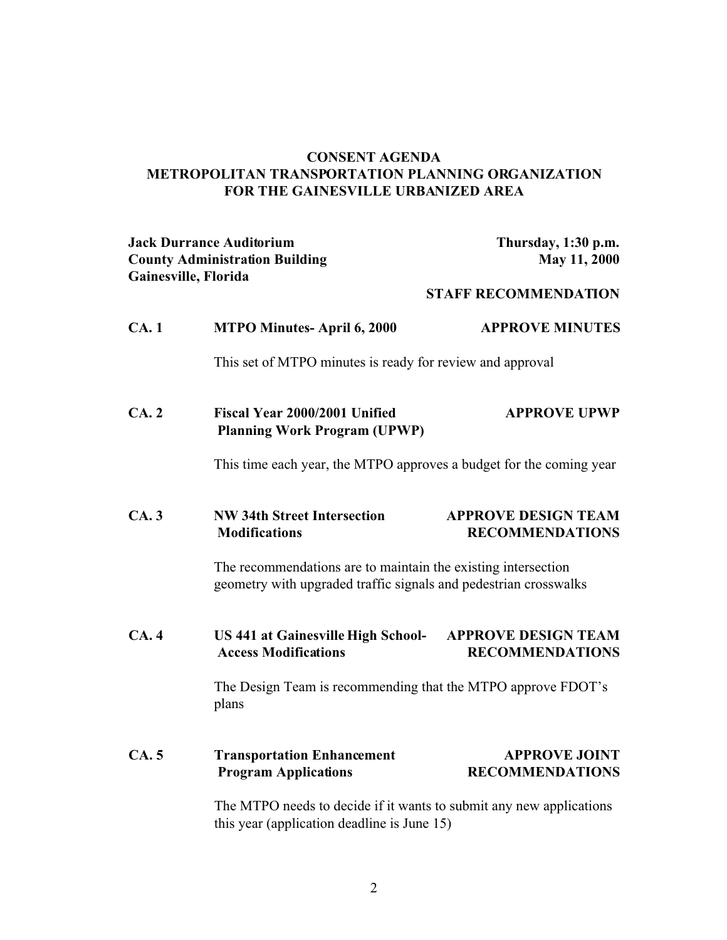## **CONSENT AGENDA METROPOLITAN TRANSPORTATION PLANNING ORGANIZATION FOR THE GAINESVILLE URBANIZED AREA**

| <b>Jack Durrance Auditorium</b><br><b>County Administration Building</b><br>Gainesville, Florida |                                                           | Thursday, 1:30 p.m.<br>May 11, 2000 |
|--------------------------------------------------------------------------------------------------|-----------------------------------------------------------|-------------------------------------|
|                                                                                                  |                                                           | <b>STAFF RECOMMENDATION</b>         |
| <b>CA.</b> 1                                                                                     | <b>MTPO Minutes-April 6, 2000</b>                         | <b>APPROVE MINUTES</b>              |
|                                                                                                  | This set of MTPO minutes is ready for review and approval |                                     |
|                                                                                                  |                                                           |                                     |

**CA. 2 Fiscal Year 2000/2001 Unified APPROVE UPWP Planning Work Program (UPWP)**

This time each year, the MTPO approves a budget for the coming year

# **CA. 3 NW 34th Street Intersection APPROVE DESIGN TEAM Modifications RECOMMENDATIONS**

The recommendations are to maintain the existing intersection geometry with upgraded traffic signals and pedestrian crosswalks

**CA. 4 US 441 at Gainesville High School- APPROVE DESIGN TEAM** Access Modifications **RECOMMENDATIONS** 

> The Design Team is recommending that the MTPO approve FDOT's plans

# **CA. 5 Transportation Enhancement APPROVE JOINT Program Applications RECOMMENDATIONS**

The MTPO needs to decide if it wants to submit any new applications this year (application deadline is June 15)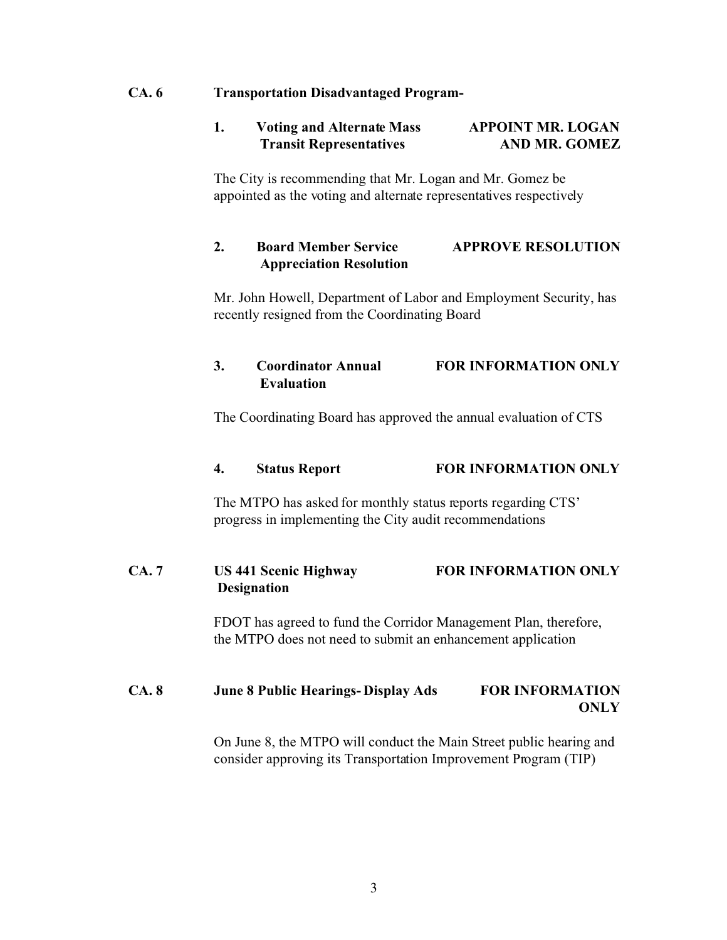#### **CA. 6 Transportation Disadvantaged Program-**

### **1. Voting and Alternate Mass APPOINT MR. LOGAN Transit Representatives AND MR. GOMEZ**

The City is recommending that Mr. Logan and Mr. Gomez be appointed as the voting and alternate representatives respectively

## **2. Board Member Service APPROVE RESOLUTION Appreciation Resolution**

Mr. John Howell, Department of Labor and Employment Security, has recently resigned from the Coordinating Board

## **3. Coordinator Annual FOR INFORMATION ONLY Evaluation**

The Coordinating Board has approved the annual evaluation of CTS

#### **4. Status Report FOR INFORMATION ONLY**

The MTPO has asked for monthly status reports regarding CTS' progress in implementing the City audit recommendations

## **CA. 7 US 441 Scenic Highway FOR INFORMATION ONLY Designation**

FDOT has agreed to fund the Corridor Management Plan, therefore, the MTPO does not need to submit an enhancement application

## **CA. 8 June 8 Public Hearings- Display Ads FOR INFORMATION ONLY**

On June 8, the MTPO will conduct the Main Street public hearing and consider approving its Transportation Improvement Program (TIP)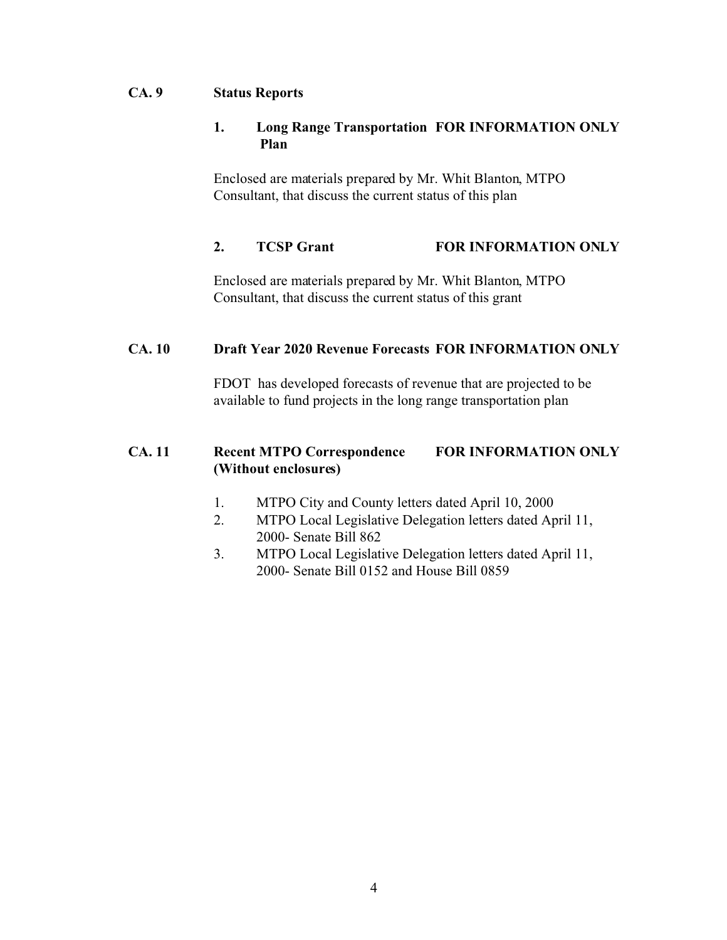## **CA. 9 Status Reports**

## **1. Long Range Transportation FOR INFORMATION ONLY Plan**

Enclosed are materials prepared by Mr. Whit Blanton, MTPO Consultant, that discuss the current status of this plan

## **2. TCSP Grant FOR INFORMATION ONLY**

Enclosed are materials prepared by Mr. Whit Blanton, MTPO Consultant, that discuss the current status of this grant

## **CA. 10 Draft Year 2020 Revenue Forecasts FOR INFORMATION ONLY**

FDOT has developed forecasts of revenue that are projected to be available to fund projects in the long range transportation plan

# **CA. 11 Recent MTPO Correspondence FOR INFORMATION ONLY (Without enclosures)**

- 1. MTPO City and County letters dated April 10, 2000
- 2. MTPO Local Legislative Delegation letters dated April 11, 2000- Senate Bill 862
- 3. MTPO Local Legislative Delegation letters dated April 11, 2000- Senate Bill 0152 and House Bill 0859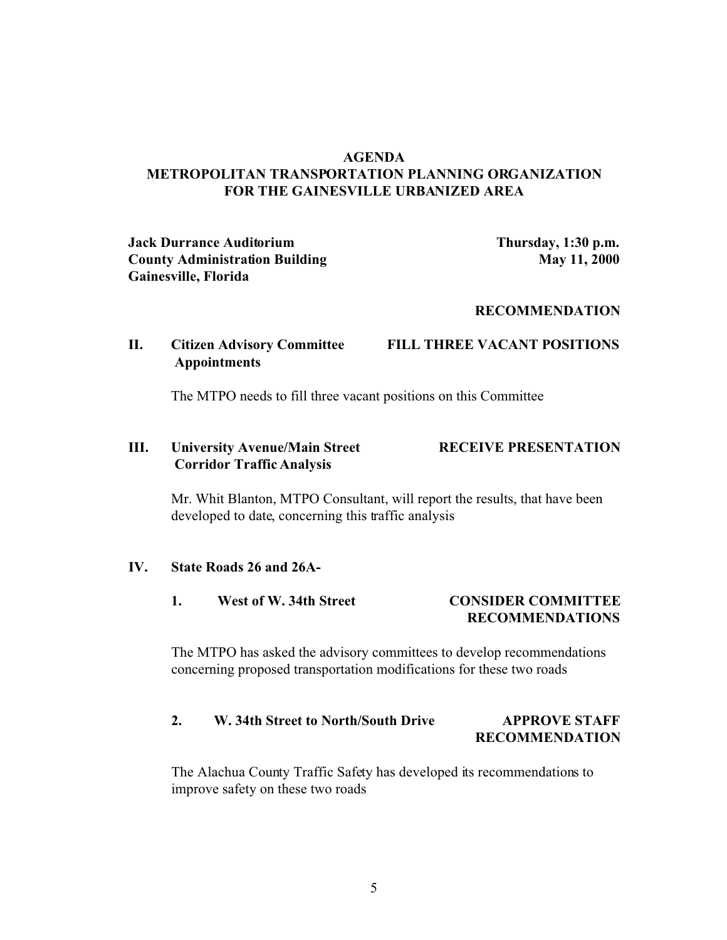## **AGENDA METROPOLITAN TRANSPORTATION PLANNING ORGANIZATION FOR THE GAINESVILLE URBANIZED AREA**

**Jack Durrance Auditorium Thursday, 1:30 p.m. County Administration Building 11, 2000 Gainesville, Florida**

#### **RECOMMENDATION**

## **II. Citizen Advisory Committee FILL THREE VACANT POSITIONS Appointments**

The MTPO needs to fill three vacant positions on this Committee

## **III. University Avenue/Main Street RECEIVE PRESENTATION Corridor Traffic Analysis**

Mr. Whit Blanton, MTPO Consultant, will report the results, that have been developed to date, concerning this traffic analysis

#### **IV. State Roads 26 and 26A-**

1. West of W. 34th Street **CONSIDER COMMITTEE RECOMMENDATIONS**

The MTPO has asked the advisory committees to develop recommendations concerning proposed transportation modifications for these two roads

# **2. W. 34th Street to North/South Drive APPROVE STAFF RECOMMENDATION**

The Alachua County Traffic Safety has developed its recommendations to improve safety on these two roads